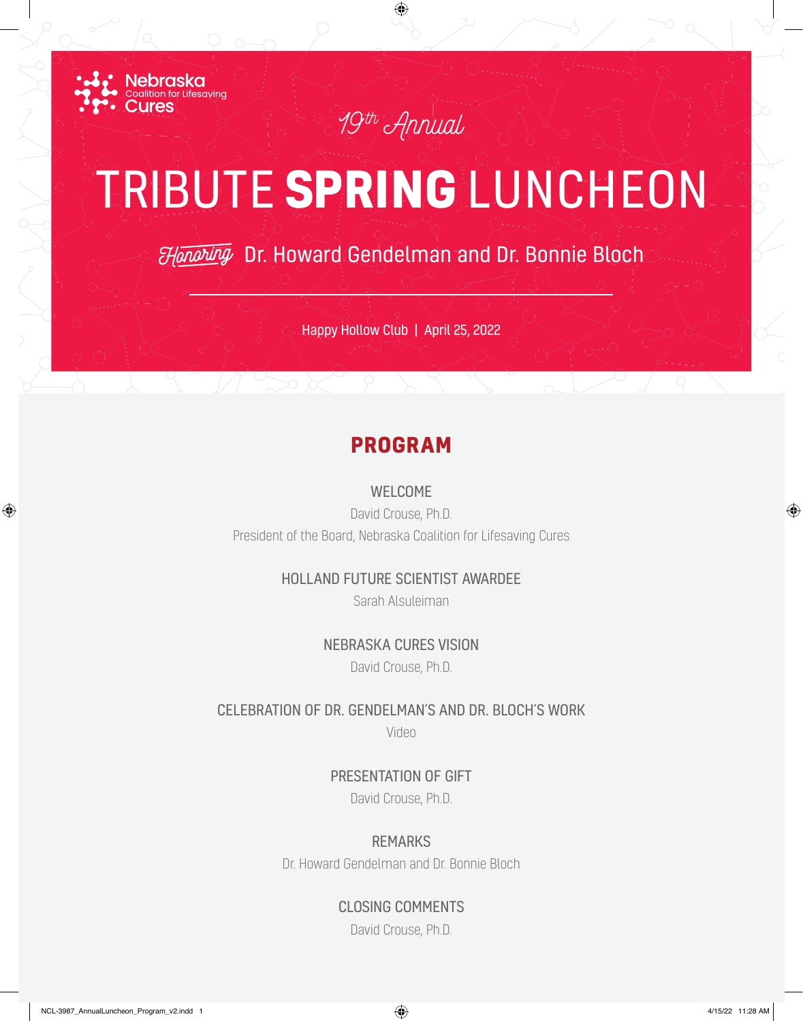

## TRIBUTE **SPRING** LUNCHEON

*19th Annual*

⊕

Dr. Howard Gendelman and Dr. Bonnie Bloch

Happy Hollow Club | April 25, 2022

## **PROGRAM**

WELCOME

David Crouse, Ph.D. President of the Board, Nebraska Coalition for Lifesaving Cures

## HOLLAND FUTURE SCIENTIST AWARDEE

Sarah Alsuleiman

NEBRASKA CURES VISION

David Crouse, Ph.D.

CELEBRATION OF DR. GENDELMAN'S AND DR. BLOCH'S WORK

Video

PRESENTATION OF GIFT David Crouse, Ph.D.

REMARKS

Dr. Howard Gendelman and Dr. Bonnie Bloch

CLOSING COMMENTS

David Crouse, Ph.D.

⊕

⊕